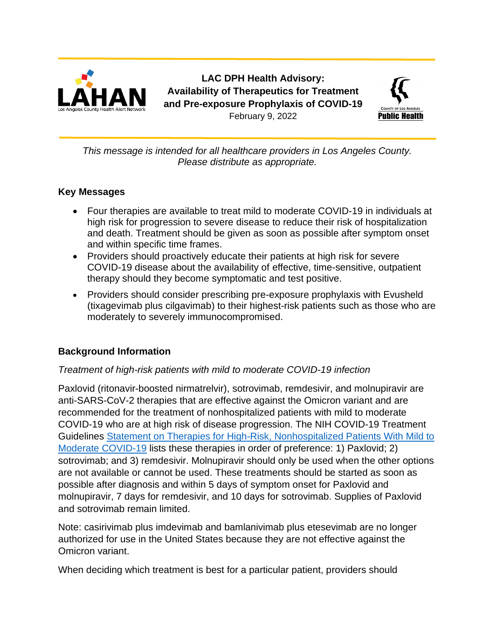

**LAC DPH Health Advisory: Availability of Therapeutics for Treatment and Pre-exposure Prophylaxis of COVID-19** February 9, 2022



*This message is intended for all healthcare providers in Los Angeles County. Please distribute as appropriate.*

### **Key Messages**

- Four therapies are available to treat mild to moderate COVID-19 in individuals at high risk for progression to severe disease to reduce their risk of hospitalization and death. Treatment should be given as soon as possible after symptom onset and within specific time frames.
- Providers should proactively educate their patients at high risk for severe COVID-19 disease about the availability of effective, time-sensitive, outpatient therapy should they become symptomatic and test positive.
- Providers should consider prescribing pre-exposure prophylaxis with Evusheld (tixagevimab plus cilgavimab) to their highest-risk patients such as those who are moderately to severely [immunocompromised](https://www.cdc.gov/coronavirus/2019-ncov/hcp/clinical-care/underlyingconditions.html).

## **Background Information**

### *Treatment of high-risk patients with mild to moderate COVID-19 infection*

Paxlovid (ritonavir-boosted nirmatrelvir), sotrovimab, remdesivir, and molnupiravir are anti-SARS-CoV-2 therapies that are effective against the Omicron variant and are recommended for the treatment of nonhospitalized patients with mild to moderate COVID-19 who are at high risk of disease progression. The NIH COVID-19 Treatment Guidelines [Statement on Therapies for High-Risk, Nonhospitalized Patients With Mild to](https://www.covid19treatmentguidelines.nih.gov/therapies/statement-on-therapies-for-high-risk-nonhospitalized-patients/)  [Moderate COVID-19](https://www.covid19treatmentguidelines.nih.gov/therapies/statement-on-therapies-for-high-risk-nonhospitalized-patients/) lists these therapies in order of preference: 1) Paxlovid; 2) sotrovimab; and 3) remdesivir. Molnupiravir should only be used when the other options are not available or cannot be used. These treatments should be started as soon as possible after diagnosis and within 5 days of symptom onset for Paxlovid and molnupiravir, 7 days for remdesivir, and 10 days for sotrovimab. Supplies of Paxlovid and sotrovimab remain limited.

Note: casirivimab plus imdevimab and bamlanivimab plus etesevimab are no longer authorized for use in the United States because they are not effective against the Omicron variant.

When deciding which treatment is best for a particular patient, providers should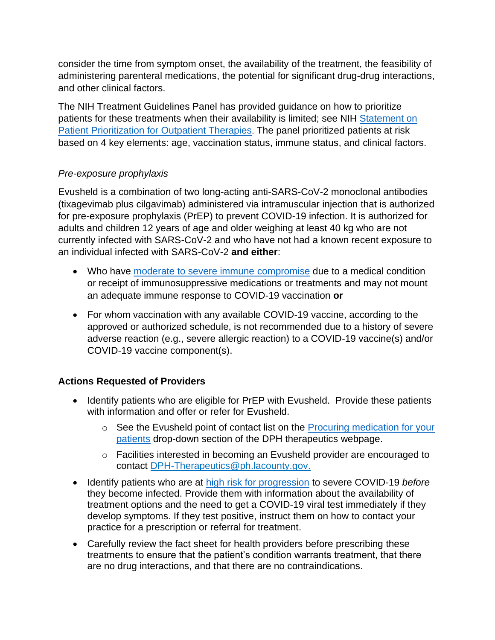consider the time from symptom onset, the availability of the treatment, the feasibility of administering parenteral medications, the potential for significant drug-drug interactions, and other clinical factors.

The NIH Treatment Guidelines Panel has provided guidance on how to prioritize patients for these treatments when their availability is limited; see NIH [Statement on](https://www.covid19treatmentguidelines.nih.gov/therapies/statement-on-patient-prioritization-for-outpatient-therapies/)  [Patient Prioritization for Outpatient Therapies](https://www.covid19treatmentguidelines.nih.gov/therapies/statement-on-patient-prioritization-for-outpatient-therapies/). The panel prioritized patients at risk based on 4 key elements: age, vaccination status, immune status, and clinical factors.

## *Pre-exposure prophylaxis*

Evusheld is a combination of two long-acting anti-SARS-CoV-2 monoclonal antibodies (tixagevimab plus cilgavimab) administered via intramuscular injection that is authorized for pre-exposure prophylaxis (PrEP) to prevent COVID-19 infection. It is authorized for adults and children 12 years of age and older weighing at least 40 kg who are not currently infected with SARS-CoV-2 and who have not had a known recent exposure to an individual infected with SARS-CoV-2 **and either**:

- Who have [moderate to severe immune compromise](https://www.cdc.gov/vaccines/covid-19/clinical-considerations/covid-19-vaccines-us.html#considerations-covid19-vax-immunocopromised) due to a medical condition or receipt of immunosuppressive medications or treatments and may not mount an adequate immune response to COVID-19 vaccination **or**
- For whom vaccination with any available COVID-19 vaccine, according to the approved or authorized schedule, is not recommended due to a history of severe adverse reaction (e.g., severe allergic reaction) to a COVID-19 vaccine(s) and/or COVID-19 vaccine component(s).

## **Actions Requested of Providers**

- Identify patients who are eligible for PrEP with Evusheld. Provide these patients with information and offer or refer for Evusheld.
	- o See the Evusheld point of contact list on the [Procuring medication for your](http://publichealth.lacounty.gov/acd/ncorona2019/therapeutics/#obtainmedication)  [patients](http://publichealth.lacounty.gov/acd/ncorona2019/therapeutics/#obtainmedication) drop-down section of the DPH therapeutics webpage.
	- o Facilities interested in becoming an Evusheld provider are encouraged to contact [DPH-Therapeutics@ph.lacounty.gov.](mailto:DPH-Therapeutics@ph.lacounty.gov)
- Identify patients who are at [high risk for progression](https://www.cdc.gov/coronavirus/2019-ncov/hcp/clinical-care/underlyingconditions.html) to severe COVID-19 *before* they become infected. Provide them with information about the availability of treatment options and the need to get a COVID-19 viral test immediately if they develop symptoms. If they test positive, instruct them on how to contact your practice for a prescription or referral for treatment.
- Carefully review the fact sheet for health providers before prescribing these treatments to ensure that the patient's condition warrants treatment, that there are no drug interactions, and that there are no contraindications.